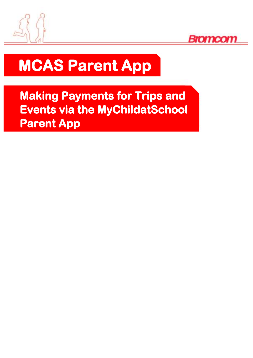



# **MCAS Parent App**

**Making Payments for Trips and Events via the MyChildatSchool Parent App**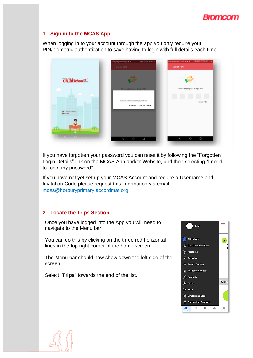

#### **1. Sign in to the MCAS App.**

When logging in to your account through the app you only require your PIN/biometric authentication to save having to login with full details each time.



If you have forgotten your password you can reset it by following the "Forgotten Login Details" link on the MCAS App and/or Website, and then selecting "I need to reset my password".

If you have not yet set up your MCAS Account and require a Username and Invitation Code please request this information via email: mcas@horburyprimary.accordmat.org

#### **2. Locate the Trips Section**

Once you have logged into the App you will need to navigate to the Menu bar.

You can do this by clicking on the three red horizontal lines in the top right corner of the home screen.

The Menu bar should now show down the left side of the screen.

Select "**Trips**" towards the end of the list.